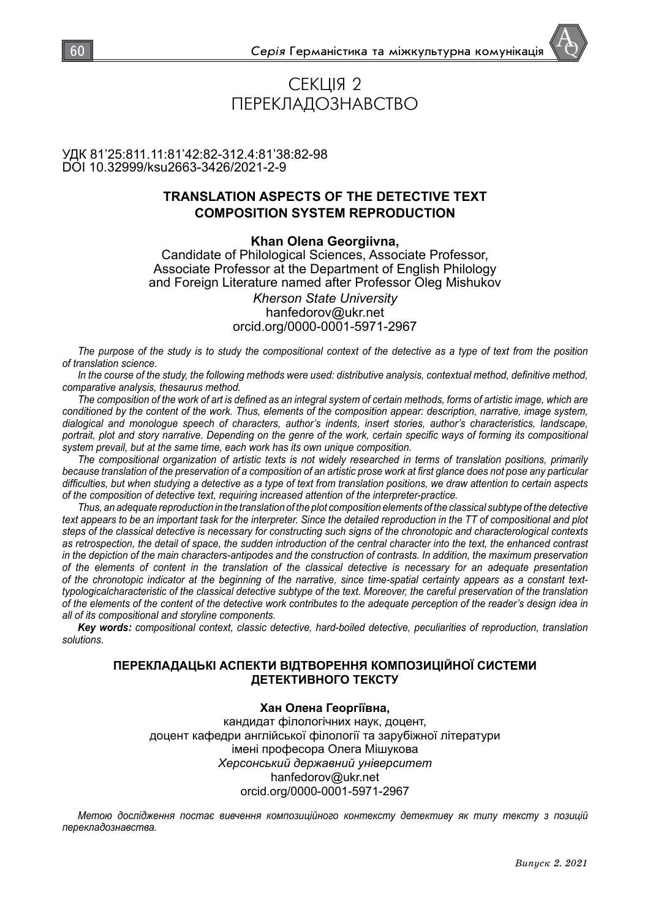# СЕКЦІЯ 2 ПЕРЕКЛАДОЗНАВСТВО

## УДК 81'25:811.11:81'42:82-312.4:81'38:82-98 DOI 10.32999/ksu2663-3426/2021-2-9

# **TRANSLATION ASPECTS OF THE DETECTIVE TEXT COMPOSITION SYSTEM REPRODUCTION**

## **Khan Olena Georgiivna,**

Candidate of Philological Sciences, Associate Professor, Associate Professor at the Department of English Philology and Foreign Literature named after Professor Oleg Mishukov *Kherson State University* hanfedorov@ukr.net orcid.org/0000-0001-5971-2967

*The purpose of the study is to study the compositional context of the detective as a type of text from the position of translation science.*

*In the course of the study, the following methods were used: distributive analysis, contextual method, definitive method, comparative analysis, thesaurus method.*

*The composition of the work of art is defined as an integral system of certain methods, forms of artistic image, which are conditioned by the content of the work. Thus, elements of the composition appear: description, narrative, image system, dialogical and monologue speech of characters, author's indents, insert stories, author's characteristics, landscape, portrait, plot and story narrative. Depending on the genre of the work, certain specific ways of forming its compositional system prevail, but at the same time, each work has its own unique composition.*

*The compositional organization of artistic texts is not widely researched in terms of translation positions, primarily because translation of the preservation of a composition of an artistic prose work at first glance does not pose any particular difficulties, but when studying a detective as a type of text from translation positions, we draw attention to certain aspects of the composition of detective text, requiring increased attention of the interpreter-practice.*

*Thus, an adequate reproduction in the translation of the plot composition elements of the classical subtype of the detective text appears to be an important task for the interpreter. Since the detailed reproduction in the TT of compositional and plot steps of the classical detective is necessary for constructing such signs of the chronotopic and characterological contexts as retrospection, the detail of space, the sudden introduction of the central character into the text, the enhanced contrast in the depiction of the main characters-antipodes and the construction of contrasts. In addition, the maximum preservation of the elements of content in the translation of the classical detective is necessary for an adequate presentation of the chronotopic indicator at the beginning of the narrative, since time-spatial certainty appears as a constant texttypologicalcharacteristic of the classical detective subtype of the text. Moreover, the careful preservation of the translation of the elements of the content of the detective work contributes to the adequate perception of the reader's design idea in all of its compositional and storyline components.*

*Key words: compositional context, classic detective, hard-boiled detective, peculiarities of reproduction, translation solutions.*

## **ПЕРЕКЛАДАЦЬКІ АСПЕКТИ ВІДТВОРЕННЯ КОМПОЗИЦІЙНОЇ СИСТЕМИ ДЕТЕКТИВНОГО ТЕКСТУ**

#### **Хан Олена Георгіївна,**

кандидат філологічних наук, доцент, доцент кафедри англійської філології та зарубіжної літератури імені професора Олега Мішукова *Херсонський державний університет* hanfedorov@ukr.net orcid.org/0000-0001-5971-2967

*Метою дослідження постає вивчення композиційного контексту детективу як типу тексту з позицій перекладознавства.*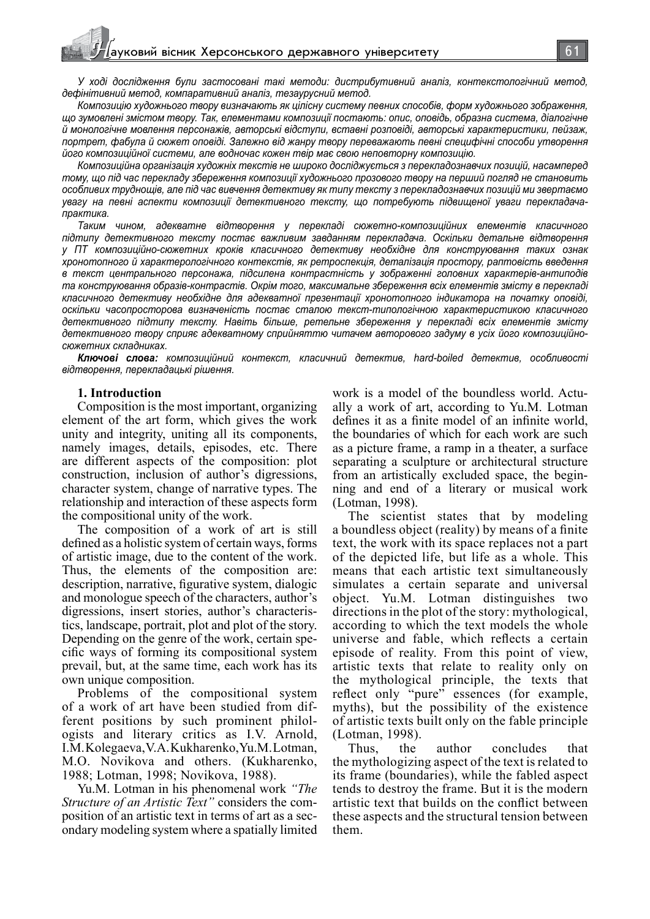*У ході дослідження були застосовані такі методи: дистрибутивний аналіз, контекстологічний метод, дефінітивний метод, компаративний аналіз, тезаурусний метод.*

*Композицію художнього твору визначають як цілісну систему певних способів, форм художнього зображення, що зумовлені змістом твору. Так, елементами композиції постають: опис, оповідь, образна система, діалогічне й монологічне мовлення персонажів, авторські відступи, вставні розповіді, авторські характеристики, пейзаж, портрет, фабула й сюжет оповіді. Залежно від жанру твору переважають певні специфічні способи утворення його композиційної системи, але водночас кожен твір має свою неповторну композицію.*

*Композиційна організація художніх текстів не широко досліджується з перекладознавчих позицій, насамперед тому, що під час перекладу збереження композиції художнього прозового твору на перший погляд не становить особливих труднощів, але під час вивчення детективу як типу тексту з перекладознавчих позицій ми звертаємо увагу на певні аспекти композиції детективного тексту, що потребують підвищеної уваги перекладачапрактика.*

*Таким чином, адекватне відтворення у перекладі сюжетно-композиційних елементів класичного підтипу детективного тексту постає важливим завданням перекладача. Оскільки детальне відтворення у ПТ композиційно-сюжетних кроків класичного детективу необхідне для конструювання таких ознак хронотопного й характерологічного контекстів, як ретроспекція, деталізація простору, раптовість введення в текст центрального персонажа, підсилена контрастність у зображенні головних характерів-антиподів та конструювання образів-контрастів. Окрім того, максимальне збереження всіх елементів змісту в перекладі класичного детективу необхідне для адекватної презентації хронотопного індикатора на початку оповіді, оскільки часопросторова визначеність постає сталою текст-типологічною характеристикою класичного детективного підтипу тексту. Навіть більше, ретельне збереження у перекладі всіх елементів змісту детективного твору сприяє адекватному сприйняттю читачем авторового задуму в усіх його композиційносюжетних складниках.*

*Ключові слова: композиційний контекст, класичний детектив, hard-boiled детектив, особливості відтворення, перекладацькі рішення.*

#### **1. Introduction**

Composition is the most important, organizing element of the art form, which gives the work unity and integrity, uniting all its components, namely images, details, episodes, etc. There are different aspects of the composition: plot construction, inclusion of author's digressions, character system, change of narrative types. The relationship and interaction of these aspects form the compositional unity of the work.

The composition of a work of art is still defined as a holistic system of certain ways, forms of artistic image, due to the content of the work. Thus, the elements of the composition are: description, narrative, figurative system, dialogic and monologue speech of the characters, author's digressions, insert stories, author's characteristics, landscape, portrait, plot and plot of the story. Depending on the genre of the work, certain specific ways of forming its compositional system prevail, but, at the same time, each work has its own unique composition.

Problems of the compositional system of a work of art have been studied from different positions by such prominent philologists and literary critics as I.V. Arnold, I.M. Kolegaeva, V.A. Kukharenko, Yu.М. Lotman, M.O. Novikova and others. (Kukharenko, 1988; Lotman, 1998; Novikova, 1988).

Yu.M. Lotman in his phenomenal work *"The Structure of an Artistic Text"* considers the composition of an artistic text in terms of art as a secondary modeling system where a spatially limited work is a model of the boundless world. Actually a work of art, according to Yu.M. Lotman defines it as a finite model of an infinite world, the boundaries of which for each work are such as a picture frame, a ramp in a theater, a surface separating a sculpture or architectural structure from an artistically excluded space, the beginning and end of a literary or musical work (Lotman, 1998).

The scientist states that by modeling a boundless object (reality) by means of a finite text, the work with its space replaces not a part of the depicted life, but life as a whole. This means that each artistic text simultaneously simulates a certain separate and universal object. Yu.M. Lotman distinguishes two directions in the plot of the story: mythological, according to which the text models the whole universe and fable, which reflects a certain episode of reality. From this point of view, artistic texts that relate to reality only on the mythological principle, the texts that reflect only "pure" essences (for example, myths), but the possibility of the existence of artistic texts built only on the fable principle (Lotman, 1998).

Thus, the author concludes that the mythologizing aspect of the text is related to its frame (boundaries), while the fabled aspect tends to destroy the frame. But it is the modern artistic text that builds on the conflict between these aspects and the structural tension between them.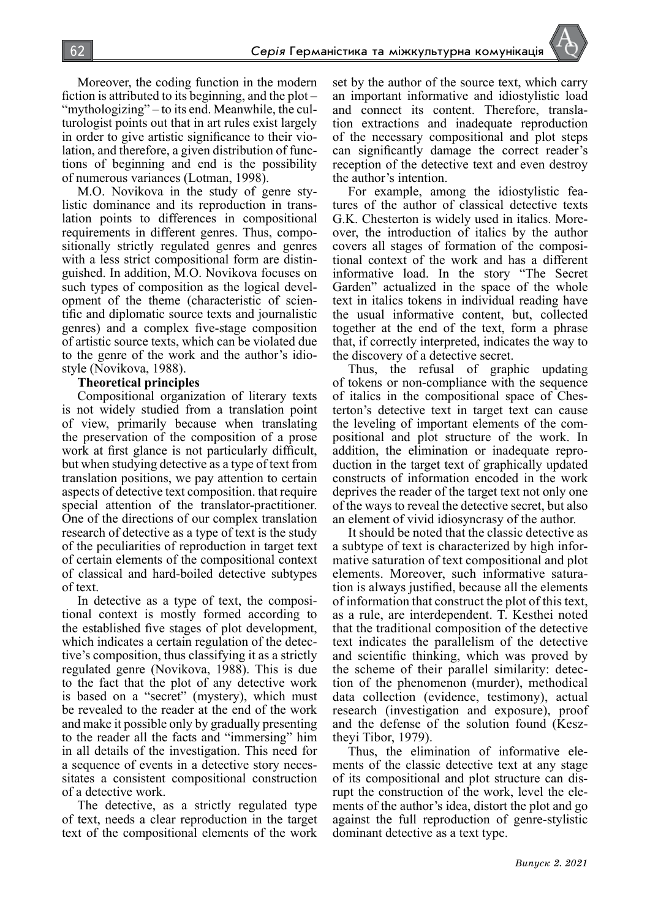Moreover, the coding function in the modern fiction is attributed to its beginning, and the plot – "mythologizing" – to its end. Meanwhile, the culturologist points out that in art rules exist largely in order to give artistic significance to their violation, and therefore, a given distribution of functions of beginning and end is the possibility of numerous variances (Lotman, 1998).

M.O. Novikova in the study of genre stylistic dominance and its reproduction in translation points to differences in compositional requirements in different genres. Thus, compositionally strictly regulated genres and genres with a less strict compositional form are distinguished. In addition, M.O. Novikova focuses on such types of composition as the logical development of the theme (characteristic of scientific and diplomatic source texts and journalistic genres) and a complex five-stage composition of artistic source texts, which can be violated due to the genre of the work and the author's idiostyle (Novikova, 1988).

#### **Theoretical principles**

Compositional organization of literary texts is not widely studied from a translation point of view, primarily because when translating the preservation of the composition of a prose work at first glance is not particularly difficult, but when studying detective as a type of text from translation positions, we pay attention to certain aspects of detective text composition. that require special attention of the translator-practitioner. One of the directions of our complex translation research of detective as a type of text is the study of the peculiarities of reproduction in target text of certain elements of the compositional context of classical and hard-boiled detective subtypes of text.

In detective as a type of text, the compositional context is mostly formed according to the established five stages of plot development, which indicates a certain regulation of the detective's composition, thus classifying it as a strictly regulated genre (Novikova, 1988). This is due to the fact that the plot of any detective work is based on a "secret" (mystery), which must be revealed to the reader at the end of the work and make it possible only by gradually presenting to the reader all the facts and "immersing" him in all details of the investigation. This need for a sequence of events in a detective story necessitates a consistent compositional construction of a detective work.

The detective, as a strictly regulated type of text, needs a clear reproduction in the target text of the compositional elements of the work set by the author of the source text, which carry an important informative and idiostylistic load and connect its content. Therefore, translation extractions and inadequate reproduction of the necessary compositional and plot steps can significantly damage the correct reader's reception of the detective text and even destroy the author's intention.

For example, among the idiostylistic features of the author of classical detective texts G.K. Chesterton is widely used in italics. Moreover, the introduction of italics by the author covers all stages of formation of the compositional context of the work and has a different informative load. In the story "The Secret Garden" actualized in the space of the whole text in italics tokens in individual reading have the usual informative content, but, collected together at the end of the text, form a phrase that, if correctly interpreted, indicates the way to the discovery of a detective secret.

Thus, the refusal of graphic updating of tokens or non-compliance with the sequence of italics in the compositional space of Chesterton's detective text in target text can cause the leveling of important elements of the compositional and plot structure of the work. In addition, the elimination or inadequate reproduction in the target text of graphically updated constructs of information encoded in the work deprives the reader of the target text not only one of the ways to reveal the detective secret, but also an element of vivid idiosyncrasy of the author.

It should be noted that the classic detective as a subtype of text is characterized by high informative saturation of text compositional and plot elements. Moreover, such informative saturation is always justified, because all the elements of information that construct the plot of this text, as a rule, are interdependent. T. Kesthei noted that the traditional composition of the detective text indicates the parallelism of the detective and scientific thinking, which was proved by the scheme of their parallel similarity: detection of the phenomenon (murder), methodical data collection (evidence, testimony), actual research (investigation and exposure), proof and the defense of the solution found (Kesztheyi Tibor, 1979).

Thus, the elimination of informative elements of the classic detective text at any stage of its compositional and plot structure can disrupt the construction of the work, level the elements of the author's idea, distort the plot and go against the full reproduction of genre-stylistic dominant detective as a text type.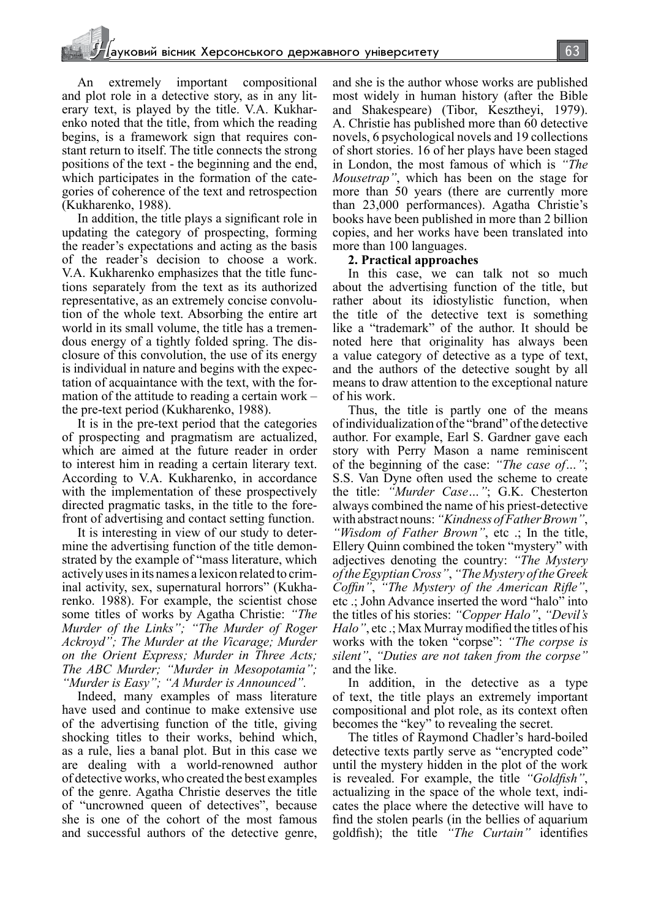An extremely important compositional and plot role in a detective story, as in any literary text, is played by the title. V.A. Kukharenko noted that the title, from which the reading begins, is a framework sign that requires constant return to itself. The title connects the strong positions of the text - the beginning and the end, which participates in the formation of the categories of coherence of the text and retrospection (Kukharenko, 1988).

In addition, the title plays a significant role in updating the category of prospecting, forming the reader's expectations and acting as the basis of the reader's decision to choose a work. V.A. Kukharenko emphasizes that the title functions separately from the text as its authorized representative, as an extremely concise convolution of the whole text. Absorbing the entire art world in its small volume, the title has a tremendous energy of a tightly folded spring. The disclosure of this convolution, the use of its energy is individual in nature and begins with the expectation of acquaintance with the text, with the formation of the attitude to reading a certain work – the pre-text period (Kukharenko, 1988).

It is in the pre-text period that the categories of prospecting and pragmatism are actualized, which are aimed at the future reader in order to interest him in reading a certain literary text. According to V.A. Kukharenko, in accordance with the implementation of these prospectively directed pragmatic tasks, in the title to the forefront of advertising and contact setting function.

It is interesting in view of our study to determine the advertising function of the title demonstrated by the example of "mass literature, which actively uses in its names a lexicon related to criminal activity, sex, supernatural horrors" (Kukharenko. 1988). For example, the scientist chose some titles of works by Agatha Christie: *"The Murder of the Links"; "The Murder of Roger Ackroyd"; The Murder at the Vicarage; Murder on the Orient Express; Murder in Three Acts; The ABC Murder; "Murder in Mesopotamia"; "Murder is Easy"; "A Murder is Announced".*

Indeed, many examples of mass literature have used and continue to make extensive use of the advertising function of the title, giving shocking titles to their works, behind which, as a rule, lies a banal plot. But in this case we are dealing with a world-renowned author of detective works, who created the best examples of the genre. Agatha Christie deserves the title of "uncrowned queen of detectives", because she is one of the cohort of the most famous and successful authors of the detective genre, and she is the author whose works are published most widely in human history (after the Bible and Shakespeare) (Tibor, Kesztheyi, 1979). A. Christie has published more than 60 detective novels, 6 psychological novels and 19 collections of short stories. 16 of her plays have been staged in London, the most famous of which is *"The Mousetrap"*, which has been on the stage for more than 50 years (there are currently more than 23,000 performances). Agatha Christie's books have been published in more than 2 billion copies, and her works have been translated into more than 100 languages.

## **2. Practical approaches**

In this case, we can talk not so much about the advertising function of the title, but rather about its idiostylistic function, when the title of the detective text is something like a "trademark" of the author. It should be noted here that originality has always been a value category of detective as a type of text, and the authors of the detective sought by all means to draw attention to the exceptional nature of his work.

Thus, the title is partly one of the means of individualization of the "brand" of the detective author. For example, Earl S. Gardner gave each story with Perry Mason a name reminiscent of the beginning of the case: *"The case of…"*; S.S. Van Dyne often used the scheme to create the title: *"Murder Case…"*; G.K. Chesterton always combined the name of his priest-detective with abstract nouns: *"Kindness of Father Brown"*, *"Wisdom of Father Brown"*, etc .; In the title, Ellery Quinn combined the token "mystery" with adjectives denoting the country: *"The Mystery of the Egyptian Cross"*, *"The Mystery of the Greek Coffin"*, *"The Mystery of the American Rifle"*, etc .; John Advance inserted the word "halo" into the titles of his stories: *"Copper Halo"*, *"Devil's Halo"*, etc .; Max Murray modified the titles of his works with the token "corpse": *"The corpse is silent"*, *"Duties are not taken from the corpse"* and the like.

In addition, in the detective as a type of text, the title plays an extremely important compositional and plot role, as its context often becomes the "key" to revealing the secret.

The titles of Raymond Chadler's hard-boiled detective texts partly serve as "encrypted code" until the mystery hidden in the plot of the work is revealed. For example, the title *"Goldfish"*, actualizing in the space of the whole text, indicates the place where the detective will have to find the stolen pearls (in the bellies of aquarium goldfish); the title *"The Curtain"* identifies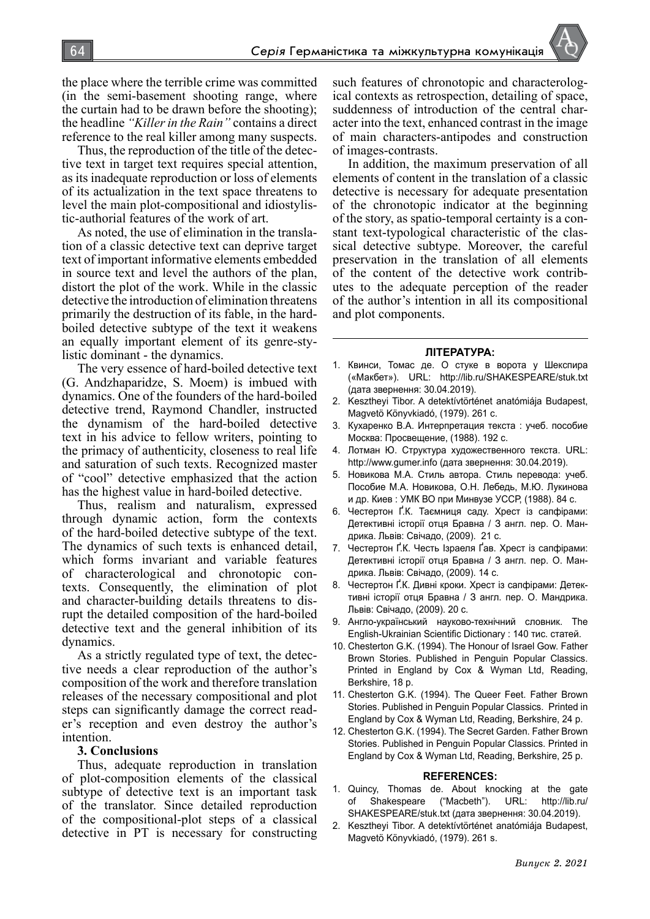64 *Серія* Германістика та міжкультурна комунікація

the place where the terrible crime was committed (in the semi-basement shooting range, where the curtain had to be drawn before the shooting); the headline *"Killer in the Rain"* contains a direct reference to the real killer among many suspects.

Thus, the reproduction of the title of the detective text in target text requires special attention, as its inadequate reproduction or loss of elements of its actualization in the text space threatens to level the main plot-compositional and idiostylistic-authorial features of the work of art.

As noted, the use of elimination in the translation of a classic detective text can deprive target text of important informative elements embedded in source text and level the authors of the plan, distort the plot of the work. While in the classic detective the introduction of elimination threatens primarily the destruction of its fable, in the hardboiled detective subtype of the text it weakens an equally important element of its genre-stylistic dominant - the dynamics.

The very essence of hard-boiled detective text (G. Andzhaparidze, S. Moem) is imbued with dynamics. One of the founders of the hard-boiled detective trend, Raymond Chandler, instructed the dynamism of the hard-boiled detective text in his advice to fellow writers, pointing to the primacy of authenticity, closeness to real life and saturation of such texts. Recognized master of "cool" detective emphasized that the action has the highest value in hard-boiled detective.

Thus, realism and naturalism, expressed through dynamic action, form the contexts of the hard-boiled detective subtype of the text. The dynamics of such texts is enhanced detail, which forms invariant and variable features of characterological and chronotopic contexts. Consequently, the elimination of plot and character-building details threatens to disrupt the detailed composition of the hard-boiled detective text and the general inhibition of its dynamics.

As a strictly regulated type of text, the detective needs a clear reproduction of the author's composition of the work and therefore translation releases of the necessary compositional and plot steps can significantly damage the correct reader's reception and even destroy the author's intention.

#### **3. Conclusions**

Thus, adequate reproduction in translation of plot-composition elements of the classical subtype of detective text is an important task of the translator. Since detailed reproduction of the compositional-plot steps of a classical detective in PT is necessary for constructing such features of chronotopic and characterological contexts as retrospection, detailing of space, suddenness of introduction of the central character into the text, enhanced contrast in the image of main characters-antipodes and construction of images-contrasts.

In addition, the maximum preservation of all elements of content in the translation of a classic detective is necessary for adequate presentation of the chronotopic indicator at the beginning of the story, as spatio-temporal certainty is a constant text-typological characteristic of the classical detective subtype. Moreover, the careful preservation in the translation of all elements of the content of the detective work contributes to the adequate perception of the reader of the author's intention in all its compositional and plot components.

#### **ЛІТЕРАТУРА:**

- 1. Квинси, Томас де. О стуке в ворота у Шекспира («Макбет»). URL: http://lib.ru/SHAKESPEARE/stuk.txt (дата звернення: 30.04.2019).
- 2. Kesztheyi Tibor. A detektívtörténet anatómiája Budapest, Magvetö Könyvkiadó, (1979). 261 с.
- 3. Кухаренко В.А. Интерпретация текста : учеб. пособие Москва: Просвещение, (1988). 192 с.
- 4. Лотман Ю. Структура художественного текста. URL: http://www.gumer.info (дата звернення: 30.04.2019).
- 5. Новикова М.А. Стиль автора. Стиль перевода: учеб. Пособие М.А. Новикова, О.Н. Лебедь, М.Ю. Лукинова и др. Киев : УМК ВО при Минвузе УССР, (1988). 84 с.
- 6. Честертон Ґ.К. Таємниця саду. Хрест із сапфірами: Детективні історії отця Бравна / З англ. пер. О. Мандрика. Львів: Свічадо, (2009). 21 с.
- 7. Честертон Ґ.К. Честь Ізраеля Ґав. Хрест із сапфірами: Детективні історії отця Бравна / З англ. пер. О. Мандрика. Львів: Свічадо, (2009). 14 с.
- 8. Честертон Ґ.К. Дивні кроки. Хрест із сапфірами: Детективні історії отця Бравна / З англ. пер. О. Мандрика. Львів: Свічадо, (2009). 20 с.
- 9. Англо-український науково-технічний словник. The English-Ukrainian Scientific Dictionary : 140 тис. статей.
- 10. Chesterton G.K. (1994). The Honour of Israel Gow. Father Brown Stories. Published in Penguin Popular Classics. Printed in England by Cox & Wyman Ltd, Reading, Berkshire, 18 p.
- 11. Chesterton G.K. (1994). The Queer Feet. Father Brown Stories. Published in Penguin Popular Classics. Printed in England by Cox & Wyman Ltd, Reading, Berkshire, 24 p.
- 12. Chesterton G.K. (1994). The Secret Garden. Father Brown Stories. Published in Penguin Popular Classics. Printed in England by Cox & Wyman Ltd, Reading, Berkshire, 25 p.

#### **REFERENCES:**

- 1. Quincy, Thomas de. About knocking at the gate of Shakespeare ("Macbeth"). URL: http://lib.ru/ SHAKESPEARE/stuk.txt (дата звернення: 30.04.2019).
- 2. Kesztheyi Tibor. A detektívtörténet anatómiája Budapest, Magvetö Könyvkiadó, (1979). 261 s.